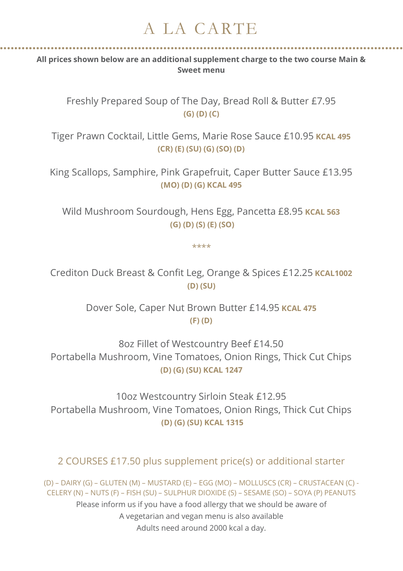## A LA CARTE

**All prices shown below are an additional supplement charge to the two course Main & Sweet menu**

Freshly Prepared Soup of The Day, Bread Roll & Butter £7.95 **(G) (D) (C)**

Tiger Prawn Cocktail, Little Gems, Marie Rose Sauce £10.95 **KCAL 495 (CR) (E) (SU) (G) (SO) (D)**

King Scallops, Samphire, Pink Grapefruit, Caper Butter Sauce £13.95 **(MO) (D) (G) KCAL 495**

Wild Mushroom Sourdough, Hens Egg, Pancetta £8.95 **KCAL 563 (G) (D) (S) (E) (SO)**

\*\*\*\*

Crediton Duck Breast & Confit Leg, Orange & Spices £12.25 **KCAL1002 (D) (SU)**

> Dover Sole, Caper Nut Brown Butter £14.95 **KCAL 475 (F) (D)**

8oz Fillet of Westcountry Beef £14.50 Portabella Mushroom, Vine Tomatoes, Onion Rings, Thick Cut Chips **(D) (G) (SU) KCAL 1247**

10oz Westcountry Sirloin Steak £12.95 Portabella Mushroom, Vine Tomatoes, Onion Rings, Thick Cut Chips **(D) (G) (SU) KCAL 1315**

2 COURSES £17.50 plus supplement price(s) or additional starter

(D) – DAIRY (G) – GLUTEN (M) – MUSTARD (E) – EGG (MO) – MOLLUSCS (CR) – CRUSTACEAN (C) - CELERY (N) – NUTS (F) – FISH (SU) – SULPHUR DIOXIDE (S) – SESAME (SO) – SOYA (P) PEANUTS Please inform us if you have a food allergy that we should be aware of A vegetarian and vegan menu is also available Adults need around 2000 kcal a day.